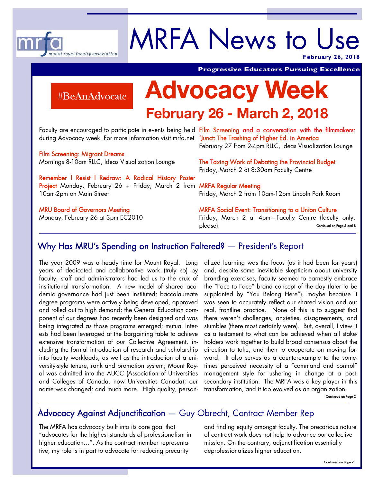

# MRFA News to Use

**February 26, 2018** 

#BeAnAdvocate

# **Advocacy Week**

# **February 26 - March 2, 2018**

during Advocacy week. For more information visit mrfa.net '<mark>Junct: The Trashing of Higher Ed. in America</mark>

Film Screening: Migrant Dreams Mornings 8-10am RLLC, Ideas Visualization Lounge

Remember l Resist l Redraw: A Radical History Poster **Project** Monday, February 26 + Friday, March 2 from **MRFA Regular Meeting** 10am-2pm on Main Street

MRU Board of Governors Meeting Monday, February 26 at 3pm EC2010

Faculty are encouraged to participate in events being held Film Scr**eening and a conversation with the filmmakers:** February 27 from 2-4pm RLLC, Ideas Visualization Lounge

**Progressive Educators Pursuing Excellence** 

The Taxing Work of Debating the Provincial Budget Friday, March 2 at 8:30am Faculty Centre

Friday, March 2 from 10am-12pm Lincoln Park Room

MRFA Social Event: Transitioning to a Union Culture Friday, March 2 at 4pm—Faculty Centre (faculty only, please) Continued on Page 5 and 8

### Why Has MRU's Spending on Instruction Faltered? — President's Report

The year 2009 was a heady time for Mount Royal. Long years of dedicated and collaborative work (truly so) by faculty, staff and administrators had led us to the crux of institutional transformation. A new model of shared academic governance had just been instituted; baccalaureate degree programs were actively being developed, approved and rolled out to high demand; the General Education component of our degrees had recently been designed and was being integrated as those programs emerged; mutual interests had been leveraged at the bargaining table to achieve extensive transformation of our Collective Agreement, including the formal introduction of research and scholarship into faculty workloads, as well as the introduction of a university-style tenure, rank and promotion system; Mount Royal was admitted into the AUCC (Association of Universities and Colleges of Canada, now Universities Canada); our name was changed; and much more. High quality, person-

alized learning was the focus (as it had been for years) and, despite some inevitable skepticism about university branding exercises, faculty seemed to earnestly embrace the "Face to Face" brand concept of the day (later to be supplanted by "You Belong Here"), maybe because it was seen to accurately reflect our shared vision and our real, frontline practice. None of this is to suggest that there weren't challenges, anxieties, disagreements, and stumbles (there most certainly were). But, overall, I view it as a testament to what can be achieved when all stakeholders work together to build broad consensus about the direction to take, and then to cooperate on moving forward. It also serves as a counterexample to the sometimes perceived necessity of a "command and control" management style for ushering in change at a postsecondary institution. The MRFA was a key player in this transformation, and it too evolved as an organization.

Continued on Page 2

## Advocacy Against Adjunctification — Guy Obrecht, Contract Member Rep

The MRFA has advocacy built into its core goal that "advocates for the highest standards of professionalism in higher education…". As the contract member representative, my role is in part to advocate for reducing precarity

and finding equity amongst faculty. The precarious nature of contract work does not help to advance our collective mission. On the contrary, adjunctification essentially deprofessionalizes higher education.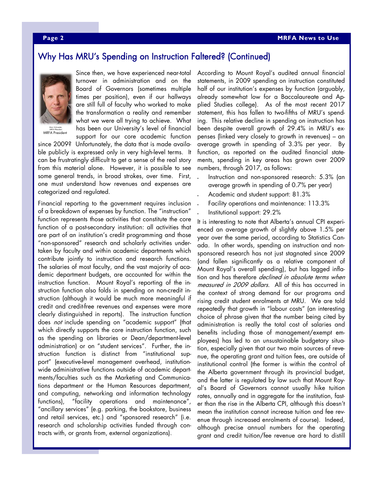#### Why Has MRU's Spending on Instruction Faltered? (Continued)



<sub>MRFA PResident</sub><br>MRFA President

Since then, we have experienced near-total turnover in administration and on the Board of Governors (sometimes multiple times per position), even if our hallways are still full of faculty who worked to make the transformation a reality and remember what we were all trying to achieve. What has been our University's level of financial support for our core academic function

since 2009? Unfortunately, the data that is made available publicly is expressed only in very high-level terms. It can be frustratingly difficult to get a sense of the real story from this material alone. However, it is possible to see some general trends, in broad strokes, over time. First, one must understand how revenues and expenses are categorized and regulated.

Financial reporting to the government requires inclusion of a breakdown of expenses by function. The "instruction" function represents those activities that constitute the core function of a post-secondary institution: all activities that are part of an institution's credit programming and those "non-sponsored" research and scholarly activities undertaken by faculty and within academic departments which contribute jointly to instruction and research functions. The salaries of most faculty, and the vast majority of academic department budgets, are accounted for within the instruction function. Mount Royal's reporting of the instruction function also folds in spending on non-credit instruction (although it would be much more meaningful if credit and credit-free revenues and expenses were more clearly distinguished in reports). The instruction function does not include spending on "academic support" (that which directly supports the core instruction function, such as the spending on libraries or Dean/department-level administration) or on "student services". Further, the instruction function is distinct from "institutional support" (executive-level management overhead, institutionwide administrative functions outside of academic departments/faculties such as the Marketing and Communications department or the Human Resources department, and computing, networking and information technology functions), "facility operations and maintenance", "ancillary services" (e.g. parking, the bookstore, business and retail services, etc.) and "sponsored research" (i.e. research and scholarship activities funded through contracts with, or grants from, external organizations).

According to Mount Royal's audited annual financial statements, in 2009 spending on instruction constituted half of our institution's expenses by function (arguably, already somewhat low for a Baccalaureate and Applied Studies college). As of the most recent 2017 statement, this has fallen to two-fifths of MRU's spending. This relative decline in spending on instruction has been despite overall growth of 29.4% in MRU's expenses (linked very closely to growth in revenues) – an average growth in spending of 3.3% per year. By function, as reported on the audited financial statements, spending in key areas has grown over 2009 numbers, through 2017, as follows:

- Instruction and non-sponsored research: 5.3% (an average growth in spending of 0.7% per year)
- Academic and student support: 81.3%
- Facility operations and maintenance: 113.3%
- Institutional support: 29.2%

It is interesting to note that Alberta's annual CPI experienced an average growth of slightly above 1.5% per year over the same period, according to Statistics Canada. In other words, spending on instruction and nonsponsored research has not just stagnated since 2009 (and fallen significantly as a relative component of Mount Royal's overall spending), but has lagged inflation and has therefore *declined in absolute terms when* measured in 2009 dollars. All of this has occurred in the context of strong demand for our programs and rising credit student enrolments at MRU. We are told repeatedly that growth in "labour costs" (an interesting choice of phrase given that the number being cited by administration is really the total cost of salaries and benefits including those of management/exempt employees) has led to an unsustainable budgetary situation, especially given that our two main sources of revenue, the operating grant and tuition fees, are outside of institutional control (the former is within the control of the Alberta government through its provincial budget, and the latter is regulated by law such that Mount Royal's Board of Governors cannot usually hike tuition rates, annually and in aggregate for the institution, faster than the rise in the Alberta CPI, although this doesn't mean the institution cannot increase tuition and fee revenue through increased enrolments of course). Indeed, although precise annual numbers for the operating grant and credit tuition/fee revenue are hard to distill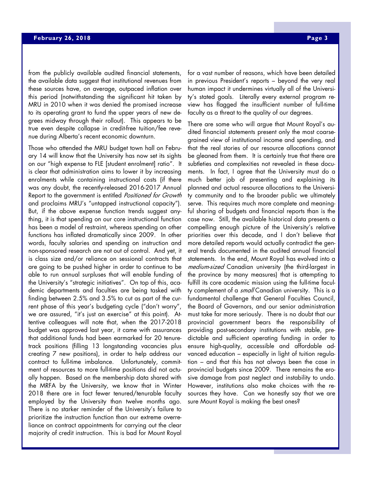from the publicly available audited financial statements, the available data suggest that institutional revenues from these sources have, on average, outpaced inflation over this period (notwithstanding the significant hit taken by MRU in 2010 when it was denied the promised increase to its operating grant to fund the upper years of new degrees midway through their rollout). This appears to be true even despite collapse in credit-free tuition/fee revenue during Alberta's recent economic downturn.

Those who attended the MRU budget town hall on February 14 will know that the University has now set its sights on our "high expense to FLE [student enrolment] ratio". It is clear that administration aims to lower it by increasing enrolments while containing instructional costs (if there was any doubt, the recently-released 2016-2017 Annual Report to the government is entitled Positioned for Growth and proclaims MRU's "untapped instructional capacity"). But, if the above expense function trends suggest anything, it is that spending on our core instructional function has been a model of restraint, whereas spending on other functions has inflated dramatically since 2009. In other words, faculty salaries and spending on instruction and non-sponsored research are not out of control. And yet, it is class size and/or reliance on sessional contracts that are going to be pushed higher in order to continue to be able to run annual surpluses that will enable funding of the University's "strategic initiatives". On top of this, academic departments and faculties are being tasked with finding between 2.5% and 3.5% to cut as part of the current phase of this year's budgeting cycle ("don't worry", we are assured, "it's just an exercise" at this point). Attentive colleagues will note that, when the 2017-2018 budget was approved last year, it came with assurances that additional funds had been earmarked for 20 tenuretrack positions (filling 13 longstanding vacancies plus creating 7 new positions), in order to help address our contract to full-time imbalance. Unfortunately, commitment of resources to more full-time positions did not actually happen. Based on the membership data shared with the MRFA by the University, we know that in Winter 2018 there are in fact fewer tenured/tenurable faculty employed by the University than twelve months ago. There is no starker reminder of the University's failure to prioritize the instruction function than our extreme overreliance on contract appointments for carrying out the clear majority of credit instruction. This is bad for Mount Royal

for a vast number of reasons, which have been detailed in previous President's reports – beyond the very real human impact it undermines virtually all of the University's stated goals. Literally every external program review has flagged the insufficient number of full-time faculty as a threat to the quality of our degrees.

There are some who will argue that Mount Royal's audited financial statements present only the most coarsegrained view of institutional income and spending, and that the real stories of our resource allocations cannot be gleaned from them. It is certainly true that there are subtleties and complexities not revealed in these documents. In fact, I agree that the University must do a much better job of presenting and explaining its planned and actual resource allocations to the University community and to the broader public we ultimately serve. This requires much more complete and meaningful sharing of budgets and financial reports than is the case now. Still, the available historical data presents a compelling enough picture of the University's relative priorities over this decade, and I don't believe that more detailed reports would actually contradict the general trends documented in the audited annual financial statements. In the end, Mount Royal has evolved into a medium-sized Canadian university (the third-largest in the province by many measures) that is attempting to fulfill its core academic mission using the full-time faculty complement of a small Canadian university. This is a fundamental challenge that General Faculties Council, the Board of Governors, and our senior administration must take far more seriously. There is no doubt that our provincial government bears the responsibility of providing post-secondary institutions with stable, predictable and sufficient operating funding in order to ensure high-quality, accessible and affordable advanced education – especially in light of tuition regulation – and that this has not always been the case in provincial budgets since 2009. There remains the erosive damage from past neglect and instability to undo. However, institutions also make choices with the resources they have. Can we honestly say that we are sure Mount Royal is making the best ones?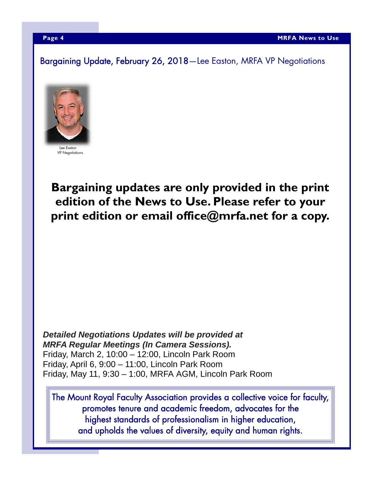Bargaining Update, February 26, 2018—Lee Easton, MRFA VP Negotiations



Lee Easton VP Negotiations

**Bargaining updates are only provided in the print edition of the News to Use. Please refer to your print edition or email office@mrfa.net for a copy.** 

*Detailed Negotiations Updates will be provided at MRFA Regular Meetings (In Camera Sessions).*  Friday, March 2, 10:00 – 12:00, Lincoln Park Room Friday, April 6, 9:00 – 11:00, Lincoln Park Room Friday, May 11, 9:30 – 1:00, MRFA AGM, Lincoln Park Room

The Mount Royal Faculty Association provides a collective voice for faculty, promotes tenure and academic freedom, advocates for the highest standards of professionalism in higher education, and upholds the values of diversity, equity and human rights.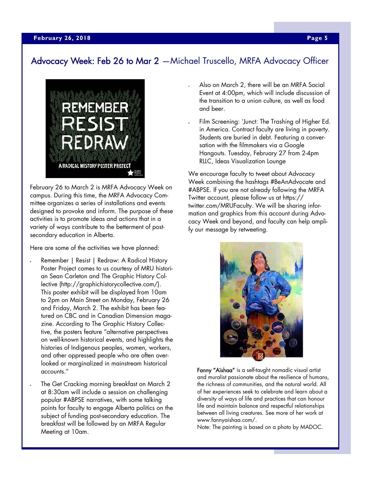#### Advocacy Week: Feb 26 to Mar 2 —Michael Truscello, MRFA Advocacy Officer



February 26 to March 2 is MRFA Advocacy Week on campus. During this time, the MRFA Advocacy Committee organizes a series of installations and events designed to provoke and inform. The purpose of these activities is to promote ideas and actions that in a variety of ways contribute to the betterment of postsecondary education in Alberta.

Here are some of the activities we have planned:

- Remember | Resist | Redraw: A Radical History Poster Project comes to us courtesy of MRU historian Sean Carleton and The Graphic History Collective (http://graphichistorycollective.com/). This poster exhibit will be displayed from 10am to 2pm on Main Street on Monday, February 26 and Friday, March 2. The exhibit has been featured on CBC and in Canadian Dimension magazine. According to The Graphic History Collective, the posters feature "alternative perspectives on well-known historical events, and highlights the histories of Indigenous peoples, women, workers, and other oppressed people who are often overlooked or marginalized in mainstream historical accounts."
	- The Get Cracking morning breakfast on March 2 at 8:30am will include a session on challenging popular #ABPSE narratives, with some talking points for faculty to engage Alberta politics on the subject of funding post-secondary education. The breakfast will be followed by an MRFA Regular Meeting at 10am.
- Also on March 2, there will be an MRFA Social Event at 4:00pm, which will include discussion of the transition to a union culture, as well as food and beer.
- Film Screening: 'Junct: The Trashing of Higher Ed. in America. Contract faculty are living in poverty. Students are buried in debt. Featuring a conversation with the filmmakers via a Google Hangouts. Tuesday, February 27 from 2-4pm RLLC, Ideas Visualization Lounge

We encourage faculty to tweet about Advocacy Week combining the hashtags #BeAnAdvocate and #ABPSE. If you are not already following the MRFA Twitter account, please follow us at https:// twitter.com/MRUFaculty. We will be sharing information and graphics from this account during Advocacy Week and beyond, and faculty can help amplify our message by retweeting.



Fanny "Aïshaa" is a self-taught nomadic visual artist and muralist passionate about the resilience of humans, the richness of communities, and the natural world. All of her experiences seek to celebrate and learn about a diversity of ways of life and practices that can honour life and maintain balance and respectful relationships between all living creatures. See more of her work at www.fannyaishaa.com/.

Note: The painting is based on a photo by MADOC.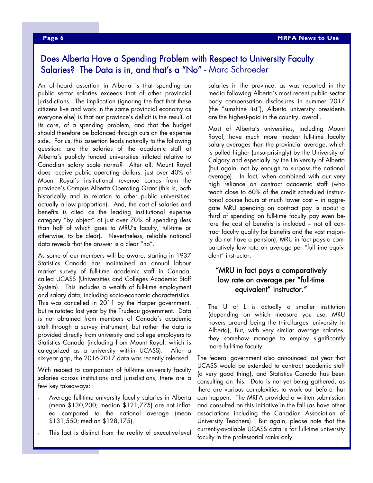#### **Page 6 MRFA News to Use**

### Does Alberta Have a Spending Problem with Respect to University Faculty Salaries? The Data is in, and that's a "No" - Marc Schroeder

An oft-heard assertion in Alberta is that spending on public sector salaries exceeds that of other provincial jurisdictions. The implication (ignoring the fact that these citizens live and work in the same provincial economy as everyone else) is that our province's deficit is the result, at its core, of a spending problem, and that the budget should therefore be balanced through cuts on the expense side. For us, this assertion leads naturally to the following question: are the salaries of the academic staff at Alberta's publicly funded universities inflated relative to Canadian salary scale norms? After all, Mount Royal does receive public operating dollars: just over 40% of Mount Royal's institutional revenue comes from the province's Campus Alberta Operating Grant (this is, both historically and in relation to other public universities, actually a low proportion). And, the cost of salaries and benefits is cited as the leading institutional expense category "by object" at just over 70% of spending (less than half of which goes to MRU's faculty, full-time or otherwise, to be clear). Nevertheless, reliable national data reveals that the answer is a clear "no".

As some of our members will be aware, starting in 1937 Statistics Canada has maintained an annual labour market survey of full-time academic staff in Canada, called UCASS (Universities and Colleges Academic Staff System). This includes a wealth of full-time employment and salary data, including socio-economic characteristics. This was cancelled in 2011 by the Harper government, but reinstated last year by the Trudeau government. Data is not obtained from members of Canada's academic staff through a survey instrument, but rather the data is provided directly from university and college employers to Statistics Canada (including from Mount Royal, which is categorized as a university within UCASS). After a six-year gap, the 2016-2017 data was recently released.

With respect to comparison of full-time university faculty salaries across institutions and jurisdictions, there are a few key takeaways:

- Average full-time university faculty salaries in Alberta (mean \$130,200; median \$121,775) are not inflated compared to the national average (mean \$131,550; median \$128,175).
- This fact is distinct from the reality of executive-level

salaries in the province: as was reported in the media following Alberta's most recent public sector body compensation disclosures in summer 2017 (the "sunshine list"), Alberta university presidents are the highest-paid in the country, overall.

 Most of Alberta's universities, including Mount Royal, have much more modest full-time faculty salary averages than the provincial average, which is pulled higher (unsurprisingly) by the University of Calgary and especially by the University of Alberta (but again, not by enough to surpass the national average). In fact, when combined with our very high reliance on contract academic staff (who teach close to 60% of the credit scheduled instructional course hours at much lower cost – in aggregate MRU spending on contract pay is about a third of spending on full-time faculty pay even before the cost of benefits is included – not all contract faculty qualify for benefits and the vast majority do not have a pension), MRU in fact pays a comparatively low rate on average per "full-time equivalent" instructor.

#### "MRU in fact pays a comparatively low rate on average per "full-time equivalent" instructor."

 The U of L is actually a smaller institution (depending on which measure you use, MRU hovers around being the third-largest university in Alberta), But, with very similar average salaries, they somehow manage to employ significantly more full-time faculty.

The federal government also announced last year that UCASS would be extended to contract academic staff (a very good thing), and Statistics Canada has been consulting on this. Data is not yet being gathered, as there are various complexities to work out before that can happen. The MRFA provided a written submission and consulted on this initiative in the fall (as have other associations including the Canadian Association of University Teachers). But again, please note that the currently-available UCASS data is for full-time university faculty in the professorial ranks only.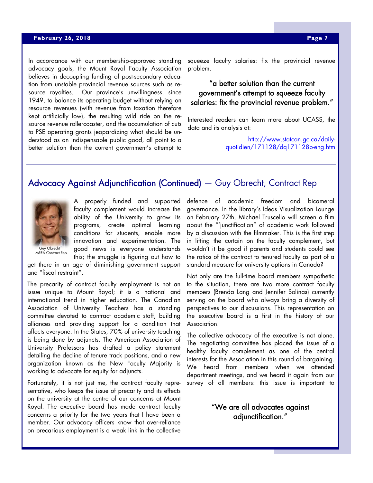#### **April 23, 2018 Page 7 and 23, 2018 Page 7 and 23, 2018 Page 7**

In accordance with our membership-approved standing advocacy goals, the Mount Royal Faculty Association believes in decoupling funding of post-secondary education from unstable provincial revenue sources such as resource royalties. Our province's unwillingness, since 1949, to balance its operating budget without relying on resource revenues (with revenue from taxation therefore kept artificially low), the resulting wild ride on the resource revenue rollercoaster, and the accumulation of cuts to PSE operating grants jeopardizing what should be understood as an indispensable public good, all point to a better solution than the current government's attempt to

squeeze faculty salaries: fix the provincial revenue problem.

#### "a better solution than the current government's attempt to squeeze faculty salaries: fix the provincial revenue problem."

Interested readers can learn more about UCASS, the data and its analysis at:

> http://www.statcan.gc.ca/dailyquotidien/171128/dq171128b-eng.htm

#### Advocacy Against Adjunctification (Continued) — Guy Obrecht, Contract Rep



A properly funded and supported faculty complement would increase the ability of the University to grow its programs, create optimal learning conditions for students, enable more innovation and experimentation. The good news is everyone understands this; the struggle is figuring out how to

MRFA Contract Rep.

get there in an age of diminishing government support and "fiscal restraint".

The precarity of contract faculty employment is not an issue unique to Mount Royal; it is a national and international trend in higher education. The Canadian Association of University Teachers has a standing committee devoted to contract academic staff, building alliances and providing support for a condition that affects everyone. In the States, 70% of university teaching is being done by adjuncts. The American Association of University Professors has drafted a policy statement detailing the decline of tenure track positions, and a new organization known as the New Faculty Majority is working to advocate for equity for adjuncts.

Fortunately, it is not just me, the contract faculty representative, who keeps the issue of precarity and its effects on the university at the centre of our concerns at Mount Royal. The executive board has made contract faculty concerns a priority for the two years that I have been a member. Our advocacy officers know that over-reliance on precarious employment is a weak link in the collective defence of academic freedom and bicameral governance. In the library's Ideas Visualization Lounge on February 27th, Michael Truscello will screen a film about the "'junctification" of academic work followed by a discussion with the filmmaker. This is the first step in lifting the curtain on the faculty complement, but wouldn't it be good if parents and students could see the ratios of the contract to tenured faculty as part of a standard measure for university options in Canada?

Not only are the full-time board members sympathetic to the situation, there are two more contract faculty members (Brenda Lang and Jennifer Solinas) currently serving on the board who always bring a diversity of perspectives to our discussions. This representation on the executive board is a first in the history of our Association.

The collective advocacy of the executive is not alone. The negotiating committee has placed the issue of a healthy faculty complement as one of the central interests for the Association in this round of bargaining. We heard from members when we attended department meetings, and we heard it again from our survey of all members: this issue is important to

#### "We are all advocates against adjunctification."